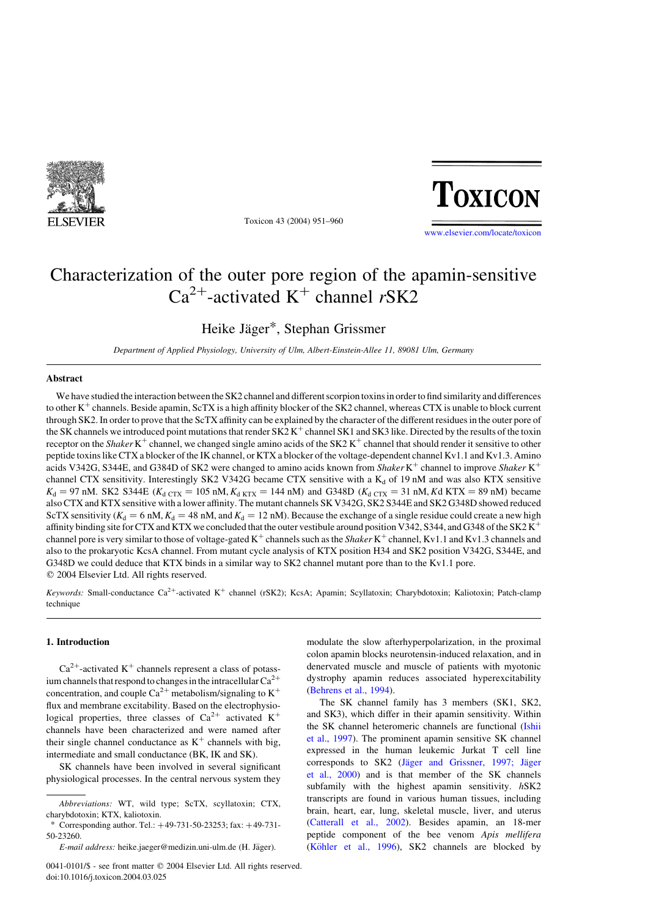

Toxicon 43 (2004) 951–960



[www.elsevier.com/locate/toxicon](http://www.elsevier.com/locate/toxicon)

# Characterization of the outer pore region of the apamin-sensitive  $Ca^{2+}$ -activated K<sup>+</sup> channel rSK2

Heike Jäger\*, Stephan Grissmer

Department of Applied Physiology, University of Ulm, Albert-Einstein-Allee 11, 89081 Ulm, Germany

# Abstract

We have studied the interaction between the SK2 channel and different scorpion toxins in order to find similarity and differences to other  $K^+$  channels. Beside apamin, ScTX is a high affinity blocker of the SK2 channel, whereas CTX is unable to block current through SK2. In order to prove that the ScTX affinity can be explained by the character of the different residues in the outer pore of the SK channels we introduced point mutations that render  $S_{K2}K^{+}$  channel SK1 and SK3 like. Directed by the results of the toxin receptor on the Shaker K<sup>+</sup> channel, we changed single amino acids of the SK2 K<sup>+</sup> channel that should render it sensitive to other peptide toxins like CTX a blocker of the IK channel, or KTX a blocker of the voltage-dependent channel Kv1.1 and Kv1.3. Amino acids V342G, S344E, and G384D of SK2 were changed to amino acids known from Shaker K<sup>+</sup> channel to improve Shaker K<sup>+</sup> channel CTX sensitivity. Interestingly SK2 V342G became CTX sensitive with a  $K_d$  of 19 nM and was also KTX sensitive  $K_d$  = 97 nM. SK2 S344E  $(K_d$  CTx = 105 nM,  $K_d$  KTx = 144 nM) and G348D  $(K_d$  CTx = 31 nM, Kd KTX = 89 nM) became also CTX and KTX sensitive with a lower affinity. The mutant channels SK V342G, SK2 S344E and SK2 G348D showed reduced ScTX sensitivity ( $K_d = 6$  nM,  $K_d = 48$  nM, and  $K_d = 12$  nM). Because the exchange of a single residue could create a new high affinity binding site for CTX and KTX we concluded that the outer vestibule around position V342, S344, and G348 of the SK2 K<sup>+</sup> channel pore is very similar to those of voltage-gated  $K^+$  channels such as the *Shaker*  $K^+$  channel, Kv1.1 and Kv1.3 channels and also to the prokaryotic KcsA channel. From mutant cycle analysis of KTX position H34 and SK2 position V342G, S344E, and G348D we could deduce that KTX binds in a similar way to SK2 channel mutant pore than to the Kv1.1 pore.  $© 2004 Elsevier Ltd. All rights reserved.$ 

Keywords: Small-conductance Ca<sup>2+</sup>-activated K<sup>+</sup> channel (rSK2); KcsA; Apamin; Scyllatoxin; Charybdotoxin; Kaliotoxin; Patch-clamp technique

# 1. Introduction

 $Ca^{2+}$ -activated K<sup>+</sup> channels represent a class of potassium channels that respond to changes in the intracellular  $Ca^{2+}$ concentration, and couple  $Ca^{2+}$  metabolism/signaling to  $K^+$ flux and membrane excitability. Based on the electrophysiological properties, three classes of  $Ca^{2+}$  activated K<sup>+</sup> channels have been characterized and were named after their single channel conductance as  $K^+$  channels with big, intermediate and small conductance (BK, IK and SK).

SK channels have been involved in several significant physiological processes. In the central nervous system they

0041-0101/\$ - see front matter © 2004 Elsevier Ltd. All rights reserved. doi:10.1016/j.toxicon.2004.03.025

modulate the slow afterhyperpolarization, in the proximal colon apamin blocks neurotensin-induced relaxation, and in denervated muscle and muscle of patients with myotonic dystrophy apamin reduces associated hyperexcitability ([Behrens et al., 1994\)](#page-8-0).

The SK channel family has 3 members (SK1, SK2, and SK3), which differ in their apamin sensitivity. Within the SK channel heteromeric channels are functional ([Ishii](#page-9-0) [et al., 1997\)](#page-9-0). The prominent apamin sensitive SK channel expressed in the human leukemic Jurkat T cell line corresponds to SK2 (Jäger and Grissner, 1997; Jäger [et al., 2000\)](#page-9-0) and is that member of the SK channels subfamily with the highest apamin sensitivity. hSK2 transcripts are found in various human tissues, including brain, heart, ear, lung, skeletal muscle, liver, and uterus ([Catterall et al., 2002](#page-8-0)). Besides apamin, an 18-mer peptide component of the bee venom Apis mellifera (Köhler et al., 1996), SK2 channels are blocked by

Abbreviations: WT, wild type; ScTX, scyllatoxin; CTX, charybdotoxin; KTX, kaliotoxin.

Corresponding author. Tel.:  $+49-731-50-23253$ ; fax:  $+49-731-$ 50-23260.

E-mail address: heike.jaeger@medizin.uni-ulm.de (H. Jäger).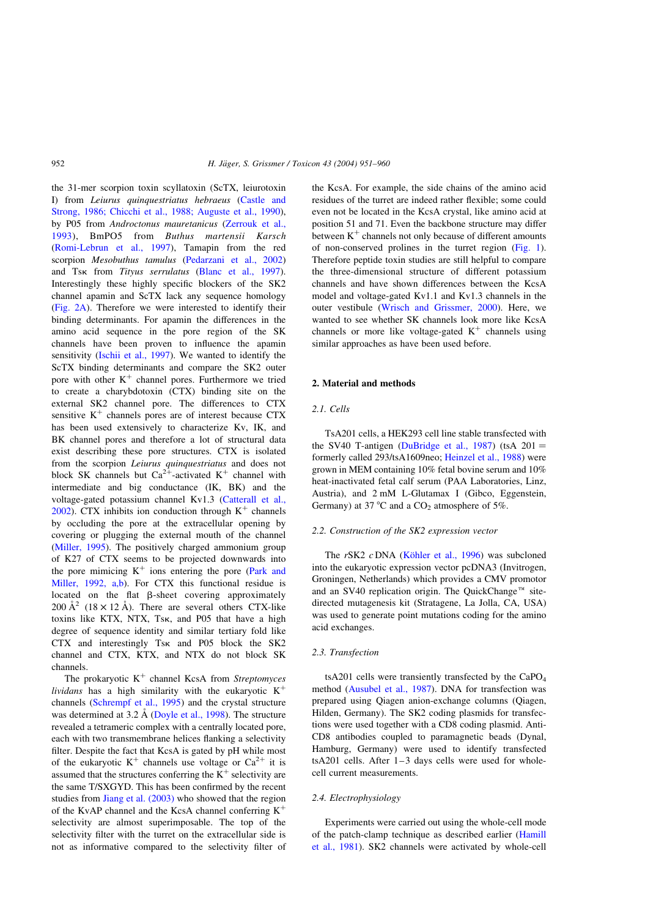the 31-mer scorpion toxin scyllatoxin (ScTX, leiurotoxin I) from Leiurus quinquestriatus hebraeus ([Castle and](#page-8-0) [Strong, 1986; Chicchi et al., 1988; Auguste et al., 1990](#page-8-0)), by P05 from Androctonus mauretanicus [\(Zerrouk et al.,](#page-9-0) [1993](#page-9-0)), BmPO5 from Buthus martensii Karsch [\(Romi-Lebrun et al., 1997\)](#page-9-0), Tamapin from the red scorpion Mesobuthus tamulus ([Pedarzani et al., 2002\)](#page-9-0) and Tsk from Tityus serrulatus ([Blanc et al., 1997](#page-8-0)). Interestingly these highly specific blockers of the SK2 channel apamin and ScTX lack any sequence homology [\(Fig. 2A](#page-3-0)). Therefore we were interested to identify their binding determinants. For apamin the differences in the amino acid sequence in the pore region of the SK channels have been proven to influence the apamin sensitivity ([Ischii et al., 1997](#page-9-0)). We wanted to identify the ScTX binding determinants and compare the SK2 outer pore with other  $K^+$  channel pores. Furthermore we tried to create a charybdotoxin (CTX) binding site on the external SK2 channel pore. The differences to CTX sensitive  $K^+$  channels pores are of interest because CTX has been used extensively to characterize Kv, IK, and BK channel pores and therefore a lot of structural data exist describing these pore structures. CTX is isolated from the scorpion Leiurus quinquestriatus and does not block SK channels but  $Ca^{2+}$ -activated K<sup>+</sup> channel with intermediate and big conductance (IK, BK) and the voltage-gated potassium channel Kv1.3 ([Catterall et al.,](#page-8-0)  $2002$ ). CTX inhibits ion conduction through  $K^+$  channels by occluding the pore at the extracellular opening by covering or plugging the external mouth of the channel [\(Miller, 1995](#page-9-0)). The positively charged ammonium group of K27 of CTX seems to be projected downwards into the pore mimicing  $K^+$  ions entering the pore ([Park and](#page-9-0) [Miller, 1992, a,b\)](#page-9-0). For CTX this functional residue is located on the flat  $\beta$ -sheet covering approximately 200  $\AA^2$  (18 × 12 Å). There are several others CTX-like toxins like KTX, NTX, Tsk, and P05 that have a high degree of sequence identity and similar tertiary fold like CTX and interestingly Tsk and P05 block the SK2 channel and CTX, KTX, and NTX do not block SK channels.

The prokaryotic  $K^+$  channel KcsA from Streptomyces lividans has a high similarity with the eukaryotic  $K^+$ channels [\(Schrempf et al., 1995](#page-9-0)) and the crystal structure was determined at  $3.2 \text{ Å}$  ([Doyle et al., 1998\)](#page-9-0). The structure revealed a tetrameric complex with a centrally located pore, each with two transmembrane helices flanking a selectivity filter. Despite the fact that KcsA is gated by pH while most of the eukaryotic  $K^+$  channels use voltage or  $Ca^{2+}$  it is assumed that the structures conferring the  $K^+$  selectivity are the same T/SXGYD. This has been confirmed by the recent studies from [Jiang et al. \(2003\)](#page-9-0) who showed that the region of the KvAP channel and the KcsA channel conferring  $K^+$ selectivity are almost superimposable. The top of the selectivity filter with the turret on the extracellular side is not as informative compared to the selectivity filter of the KcsA. For example, the side chains of the amino acid residues of the turret are indeed rather flexible; some could even not be located in the KcsA crystal, like amino acid at position 51 and 71. Even the backbone structure may differ between  $K^+$  channels not only because of different amounts of non-conserved prolines in the turret region ([Fig. 1](#page-2-0)). Therefore peptide toxin studies are still helpful to compare the three-dimensional structure of different potassium channels and have shown differences between the KcsA model and voltage-gated Kv1.1 and Kv1.3 channels in the outer vestibule [\(Wrisch and Grissmer, 2000\)](#page-9-0). Here, we wanted to see whether SK channels look more like KcsA channels or more like voltage-gated  $K^+$  channels using similar approaches as have been used before.

# 2. Material and methods

# 2.1. Cells

TsA201 cells, a HEK293 cell line stable transfected with the SV40 T-antigen [\(DuBridge et al., 1987\)](#page-9-0) (tsA  $201 =$ formerly called 293/tsA1609neo; [Heinzel et al., 1988\)](#page-9-0) were grown in MEM containing 10% fetal bovine serum and 10% heat-inactivated fetal calf serum (PAA Laboratories, Linz, Austria), and 2 mM L-Glutamax I (Gibco, Eggenstein, Germany) at 37 °C and a  $CO<sub>2</sub>$  atmosphere of 5%.

#### 2.2. Construction of the SK2 expression vector

The  $rSK2$  c DNA (Köhler et al., 1996) was subcloned into the eukaryotic expression vector pcDNA3 (Invitrogen, Groningen, Netherlands) which provides a CMV promotor and an SV40 replication origin. The QuickChange<sup>™</sup> sitedirected mutagenesis kit (Stratagene, La Jolla, CA, USA) was used to generate point mutations coding for the amino acid exchanges.

## 2.3. Transfection

tsA201 cells were transiently transfected by the CaPO<sub>4</sub> method ([Ausubel et al., 1987\)](#page-8-0). DNA for transfection was prepared using Qiagen anion-exchange columns (Qiagen, Hilden, Germany). The SK2 coding plasmids for transfections were used together with a CD8 coding plasmid. Anti-CD8 antibodies coupled to paramagnetic beads (Dynal, Hamburg, Germany) were used to identify transfected tsA201 cells. After 1–3 days cells were used for wholecell current measurements.

# 2.4. Electrophysiology

Experiments were carried out using the whole-cell mode of the patch-clamp technique as described earlier ([Hamill](#page-9-0) [et al., 1981](#page-9-0)). SK2 channels were activated by whole-cell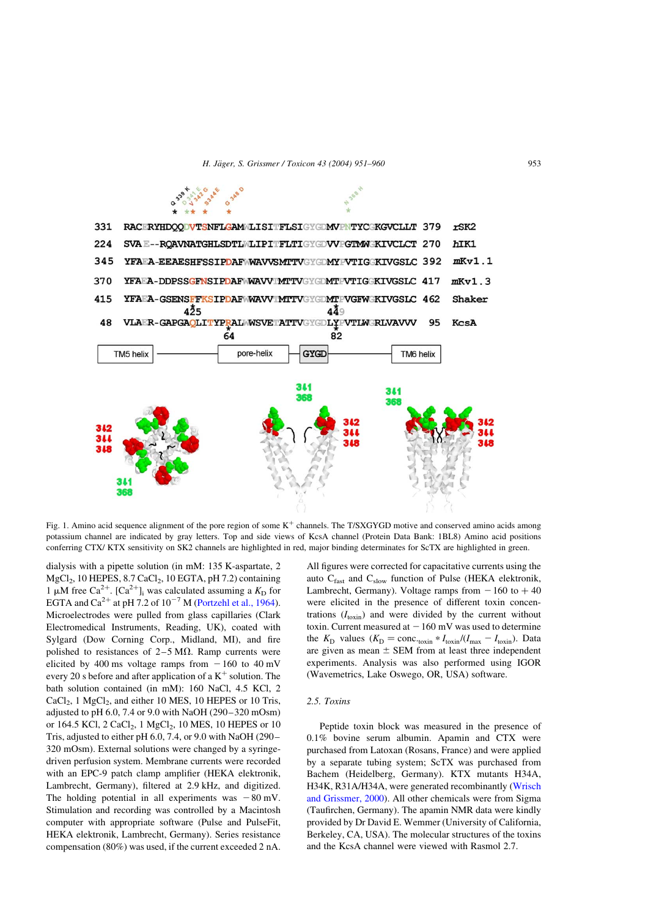H. Jäger, S. Grissmer / Toxicon 43 (2004) 951–960 953

<span id="page-2-0"></span>

Fig. 1. Amino acid sequence alignment of the pore region of some  $K^+$  channels. The T/SXGYGD motive and conserved amino acids among potassium channel are indicated by gray letters. Top and side views of KcsA channel (Protein Data Bank: 1BL8) Amino acid positions conferring CTX/ KTX sensitivity on SK2 channels are highlighted in red, major binding determinates for ScTX are highlighted in green.

dialysis with a pipette solution (in mM: 135 K-aspartate, 2  $MgCl<sub>2</sub>$ , 10 HEPES, 8.7 CaCl<sub>2</sub>, 10 EGTA, pH 7.2) containing 1 µM free Ca<sup>2+</sup>. [Ca<sup>2+</sup>]<sub>i</sub> was calculated assuming a  $K<sub>D</sub>$  for EGTA and  $Ca^{2+}$  at pH 7.2 of  $10^{-7}$  M [\(Portzehl et al., 1964\)](#page-9-0). Microelectrodes were pulled from glass capillaries (Clark Electromedical Instruments, Reading, UK), coated with Sylgard (Dow Corning Corp., Midland, MI), and fire polished to resistances of  $2-5$  M $\Omega$ . Ramp currents were elicited by 400 ms voltage ramps from  $-160$  to 40 mV every 20 s before and after application of a  $K^+$  solution. The bath solution contained (in mM): 160 NaCl, 4.5 KCl, 2  $CaCl<sub>2</sub>$ , 1 MgCl<sub>2</sub>, and either 10 MES, 10 HEPES or 10 Tris, adjusted to pH 6.0, 7.4 or 9.0 with NaOH (290–320 mOsm) or 164.5 KCl, 2 CaCl<sub>2</sub>, 1 MgCl<sub>2</sub>, 10 MES, 10 HEPES or 10 Tris, adjusted to either pH 6.0, 7.4, or 9.0 with NaOH (290– 320 mOsm). External solutions were changed by a syringedriven perfusion system. Membrane currents were recorded with an EPC-9 patch clamp amplifier (HEKA elektronik, Lambrecht, Germany), filtered at 2.9 kHz, and digitized. The holding potential in all experiments was  $-80$  mV. Stimulation and recording was controlled by a Macintosh computer with appropriate software (Pulse and PulseFit, HEKA elektronik, Lambrecht, Germany). Series resistance compensation (80%) was used, if the current exceeded 2 nA. All figures were corrected for capacitative currents using the auto  $C_{\text{fast}}$  and  $C_{\text{slow}}$  function of Pulse (HEKA elektronik, Lambrecht, Germany). Voltage ramps from  $-160$  to  $+40$ were elicited in the presence of different toxin concentrations  $(I_{\text{toxin}})$  and were divided by the current without toxin. Current measured at  $-160$  mV was used to determine the  $K_{\rm D}$  values  $(K_{\rm D} = \text{conc.}_{\text{toxin}} * I_{\text{toxin}}/(I_{\text{max}} - I_{\text{toxin}}).$  Data are given as mean  $\pm$  SEM from at least three independent experiments. Analysis was also performed using IGOR (Wavemetrics, Lake Oswego, OR, USA) software.

#### 2.5. Toxins

Peptide toxin block was measured in the presence of 0.1% bovine serum albumin. Apamin and CTX were purchased from Latoxan (Rosans, France) and were applied by a separate tubing system; ScTX was purchased from Bachem (Heidelberg, Germany). KTX mutants H34A, H34K, R31A/H34A, were generated recombinantly ([Wrisch](#page-9-0) [and Grissmer, 2000\)](#page-9-0). All other chemicals were from Sigma (Taufirchen, Germany). The apamin NMR data were kindly provided by Dr David E. Wemmer (University of California, Berkeley, CA, USA). The molecular structures of the toxins and the KcsA channel were viewed with Rasmol 2.7.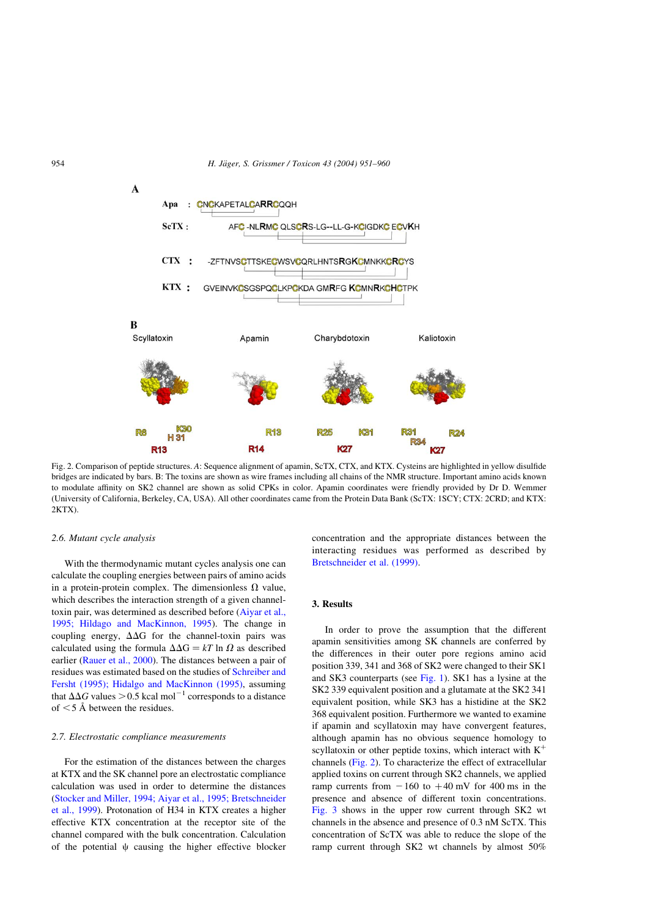<span id="page-3-0"></span>954 **H. Jäger, S. Grissmer / Toxicon 43 (2004) 951–960** 



Fig. 2. Comparison of peptide structures. A: Sequence alignment of apamin, ScTX, CTX, and KTX. Cysteins are highlighted in yellow disulfide bridges are indicated by bars. B: The toxins are shown as wire frames including all chains of the NMR structure. Important amino acids known to modulate affinity on SK2 channel are shown as solid CPKs in color. Apamin coordinates were friendly provided by Dr D. Wemmer (University of California, Berkeley, CA, USA). All other coordinates came from the Protein Data Bank (ScTX: 1SCY; CTX: 2CRD; and KTX:  $2KTX$ ).

#### 2.6. Mutant cycle analysis

With the thermodynamic mutant cycles analysis one can calculate the coupling energies between pairs of amino acids in a protein-protein complex. The dimensionless  $\Omega$  value, which describes the interaction strength of a given channeltoxin pair, was determined as described before [\(Aiyar et al.,](#page-8-0) [1995; Hildago and MacKinnon, 1995\)](#page-8-0). The change in coupling energy,  $\Delta\Delta G$  for the channel-toxin pairs was calculated using the formula  $\Delta\Delta G = kT \ln \Omega$  as described earlier ([Rauer et al., 2000](#page-9-0)). The distances between a pair of residues was estimated based on the studies of [Schreiber and](#page-9-0) [Fersht \(1995\); Hidalgo and MacKinnon \(1995\),](#page-9-0) assuming that  $\Delta\Delta G$  values  $> 0.5$  kcal mol<sup>-1</sup> corresponds to a distance of  $<$  5 Å between the residues.

#### 2.7. Electrostatic compliance measurements

For the estimation of the distances between the charges at KTX and the SK channel pore an electrostatic compliance calculation was used in order to determine the distances [\(Stocker and Miller, 1994; Aiyar et al., 1995; Bretschneider](#page-9-0) [et al., 1999](#page-9-0)). Protonation of H34 in KTX creates a higher effective KTX concentration at the receptor site of the channel compared with the bulk concentration. Calculation of the potential  $\psi$  causing the higher effective blocker concentration and the appropriate distances between the interacting residues was performed as described by [Bretschneider et al. \(1999\).](#page-8-0)

# 3. Results

In order to prove the assumption that the different apamin sensitivities among SK channels are conferred by the differences in their outer pore regions amino acid position 339, 341 and 368 of SK2 were changed to their SK1 and SK3 counterparts (see [Fig. 1\)](#page-2-0). SK1 has a lysine at the SK2 339 equivalent position and a glutamate at the SK2 341 equivalent position, while SK3 has a histidine at the SK2 368 equivalent position. Furthermore we wanted to examine if apamin and scyllatoxin may have convergent features, although apamin has no obvious sequence homology to scyllatoxin or other peptide toxins, which interact with  $K^+$ channels (Fig. 2). To characterize the effect of extracellular applied toxins on current through SK2 channels, we applied ramp currents from  $-160$  to  $+40$  mV for 400 ms in the presence and absence of different toxin concentrations. [Fig. 3](#page-4-0) shows in the upper row current through SK2 wt channels in the absence and presence of 0.3 nM ScTX. This concentration of ScTX was able to reduce the slope of the ramp current through SK2 wt channels by almost 50%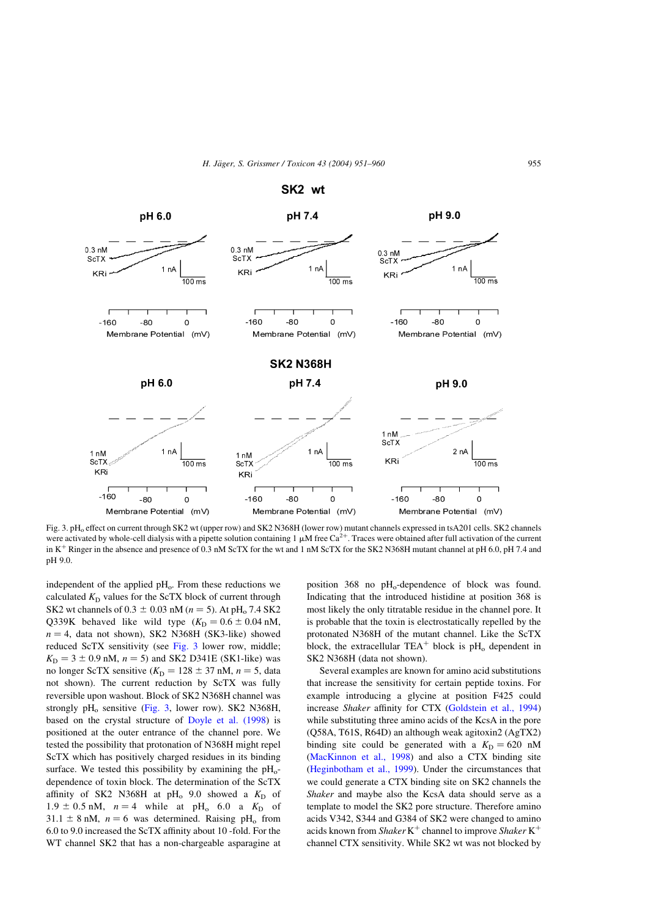<span id="page-4-0"></span>

Fig. 3. pH<sub>o</sub> effect on current through SK2 wt (upper row) and SK2 N368H (lower row) mutant channels expressed in tsA201 cells. SK2 channels were activated by whole-cell dialysis with a pipette solution containing 1  $\mu$ M free Ca<sup>2+</sup>. Traces were obtained after full activation of the current in  $K^+$  Ringer in the absence and presence of 0.3 nM ScTX for the wt and 1 nM ScTX for the SK2 N368H mutant channel at pH 6.0, pH 7.4 and pH 9.0.

independent of the applied  $pH<sub>o</sub>$ . From these reductions we calculated  $K_D$  values for the ScTX block of current through SK2 wt channels of  $0.3 \pm 0.03$  nM  $(n = 5)$ . At pH<sub>o</sub> 7.4 SK2 Q339K behaved like wild type  $(K_D = 0.6 \pm 0.04 \text{ nM})$ ,  $n = 4$ , data not shown), SK2 N368H (SK3-like) showed reduced ScTX sensitivity (see Fig. 3 lower row, middle;  $K_D = 3 \pm 0.9$  nM,  $n = 5$ ) and SK2 D341E (SK1-like) was no longer ScTX sensitive ( $K_D = 128 \pm 37$  nM,  $n = 5$ , data not shown). The current reduction by ScTX was fully reversible upon washout. Block of SK2 N368H channel was strongly  $pH_0$  sensitive (Fig. 3, lower row). SK2 N368H, based on the crystal structure of [Doyle et al. \(1998](#page-9-0)) is positioned at the outer entrance of the channel pore. We tested the possibility that protonation of N368H might repel ScTX which has positively charged residues in its binding surface. We tested this possibility by examining the  $\rm{pH}_{o}$ dependence of toxin block. The determination of the ScTX affinity of SK2 N368H at  $pH_0$  9.0 showed a  $K_D$  of  $1.9 \pm 0.5$  nM,  $n = 4$  while at pH<sub>o</sub> 6.0 a K<sub>D</sub> of  $31.1 \pm 8$  nM,  $n = 6$  was determined. Raising pH<sub>o</sub> from 6.0 to 9.0 increased the ScTX affinity about 10 -fold. For the WT channel SK2 that has a non-chargeable asparagine at position  $368$  no pH<sub>o</sub>-dependence of block was found. Indicating that the introduced histidine at position 368 is most likely the only titratable residue in the channel pore. It is probable that the toxin is electrostatically repelled by the protonated N368H of the mutant channel. Like the ScTX block, the extracellular  $TEA^+$  block is  $pH_0$  dependent in SK2 N368H (data not shown).

Several examples are known for amino acid substitutions that increase the sensitivity for certain peptide toxins. For example introducing a glycine at position F425 could increase Shaker affinity for CTX ([Goldstein et al., 1994\)](#page-9-0) while substituting three amino acids of the KcsA in the pore (Q58A, T61S, R64D) an although weak agitoxin2 (AgTX2) binding site could be generated with a  $K_D = 620$  nM ([MacKinnon et al., 1998\)](#page-9-0) and also a CTX binding site ([Heginbotham et al., 1999\)](#page-9-0). Under the circumstances that we could generate a CTX binding site on SK2 channels the Shaker and maybe also the KcsA data should serve as a template to model the SK2 pore structure. Therefore amino acids V342, S344 and G384 of SK2 were changed to amino acids known from Shaker K<sup>+</sup> channel to improve Shaker K<sup>+</sup> channel CTX sensitivity. While SK2 wt was not blocked by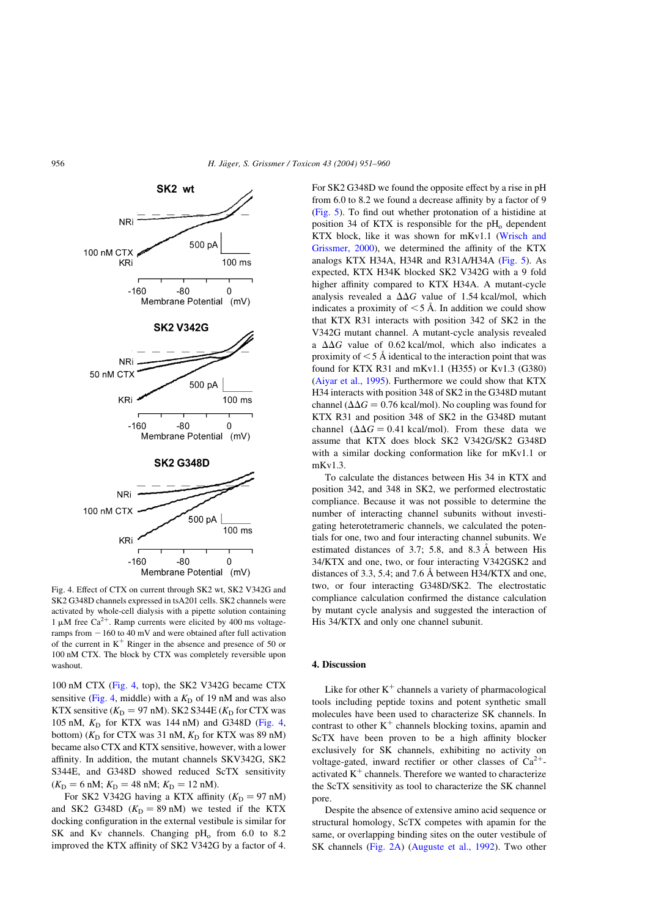

Fig. 4. Effect of CTX on current through SK2 wt, SK2 V342G and SK2 G348D channels expressed in tsA201 cells. SK2 channels were activated by whole-cell dialysis with a pipette solution containing 1  $\mu$ M free Ca<sup>2+</sup>. Ramp currents were elicited by 400 ms voltageramps from  $-160$  to 40 mV and were obtained after full activation of the current in  $K^+$  Ringer in the absence and presence of 50 or 100 nM CTX. The block by CTX was completely reversible upon washout.

100 nM CTX (Fig. 4, top), the SK2 V342G became CTX sensitive (Fig. 4, middle) with a  $K<sub>D</sub>$  of 19 nM and was also KTX sensitive  $(K_D = 97 \text{ nM})$ . SK2 S344E  $(K_D \text{ for CTX was})$ 105 nM,  $K_D$  for KTX was 144 nM) and G348D (Fig. 4, bottom) ( $K_D$  for CTX was 31 nM,  $K_D$  for KTX was 89 nM) became also CTX and KTX sensitive, however, with a lower affinity. In addition, the mutant channels SKV342G, SK2 S344E, and G348D showed reduced ScTX sensitivity  $(K_D = 6 \text{ nM}; K_D = 48 \text{ nM}; K_D = 12 \text{ nM}).$ 

For SK2 V342G having a KTX affinity  $(K_D = 97 \text{ nM})$ and SK2 G348D  $(K_D = 89 \text{ nM})$  we tested if the KTX docking configuration in the external vestibule is similar for SK and Kv channels. Changing  $pH_0$  from 6.0 to 8.2 improved the KTX affinity of SK2 V342G by a factor of 4.

For SK2 G348D we found the opposite effect by a rise in pH from 6.0 to 8.2 we found a decrease affinity by a factor of 9 [\(Fig. 5](#page-6-0)). To find out whether protonation of a histidine at position 34 of KTX is responsible for the  $pH_0$  dependent KTX block, like it was shown for mKv1.1 ([Wrisch and](#page-9-0) [Grissmer, 2000\)](#page-9-0), we determined the affinity of the KTX analogs KTX H34A, H34R and R31A/H34A ([Fig. 5\)](#page-6-0). As expected, KTX H34K blocked SK2 V342G with a 9 fold higher affinity compared to KTX H34A. A mutant-cycle analysis revealed a  $\Delta\Delta G$  value of 1.54 kcal/mol, which indicates a proximity of  $\leq$  5 Å. In addition we could show that KTX R31 interacts with position 342 of SK2 in the V342G mutant channel. A mutant-cycle analysis revealed a  $\Delta\Delta G$  value of 0.62 kcal/mol, which also indicates a proximity of  $\leq$  5 Å identical to the interaction point that was found for KTX R31 and mKv1.1 (H355) or Kv1.3 (G380) [\(Aiyar et al., 1995\)](#page-8-0). Furthermore we could show that KTX H34 interacts with position 348 of SK2 in the G348D mutant channel ( $\Delta \Delta G = 0.76$  kcal/mol). No coupling was found for KTX R31 and position 348 of SK2 in the G348D mutant channel  $(\Delta \Delta G = 0.41 \text{ kcal/mol})$ . From these data we assume that KTX does block SK2 V342G/SK2 G348D with a similar docking conformation like for mKv1.1 or  $mKv1.3$ 

To calculate the distances between His 34 in KTX and position 342, and 348 in SK2, we performed electrostatic compliance. Because it was not possible to determine the number of interacting channel subunits without investigating heterotetrameric channels, we calculated the potentials for one, two and four interacting channel subunits. We estimated distances of 3.7; 5.8, and  $8.3 \text{ Å}$  between His 34/KTX and one, two, or four interacting V342GSK2 and distances of 3.3, 5.4; and 7.6 Å between H34/KTX and one, two, or four interacting G348D/SK2. The electrostatic compliance calculation confirmed the distance calculation by mutant cycle analysis and suggested the interaction of His 34/KTX and only one channel subunit.

#### 4. Discussion

Like for other  $K^+$  channels a variety of pharmacological tools including peptide toxins and potent synthetic small molecules have been used to characterize SK channels. In contrast to other  $K^+$  channels blocking toxins, apamin and ScTX have been proven to be a high affinity blocker exclusively for SK channels, exhibiting no activity on voltage-gated, inward rectifier or other classes of  $Ca^{2+}$ activated  $K^+$  channels. Therefore we wanted to characterize the ScTX sensitivity as tool to characterize the SK channel pore.

Despite the absence of extensive amino acid sequence or structural homology, ScTX competes with apamin for the same, or overlapping binding sites on the outer vestibule of SK channels ([Fig. 2A](#page-3-0)) ([Auguste et al., 1992](#page-8-0)). Two other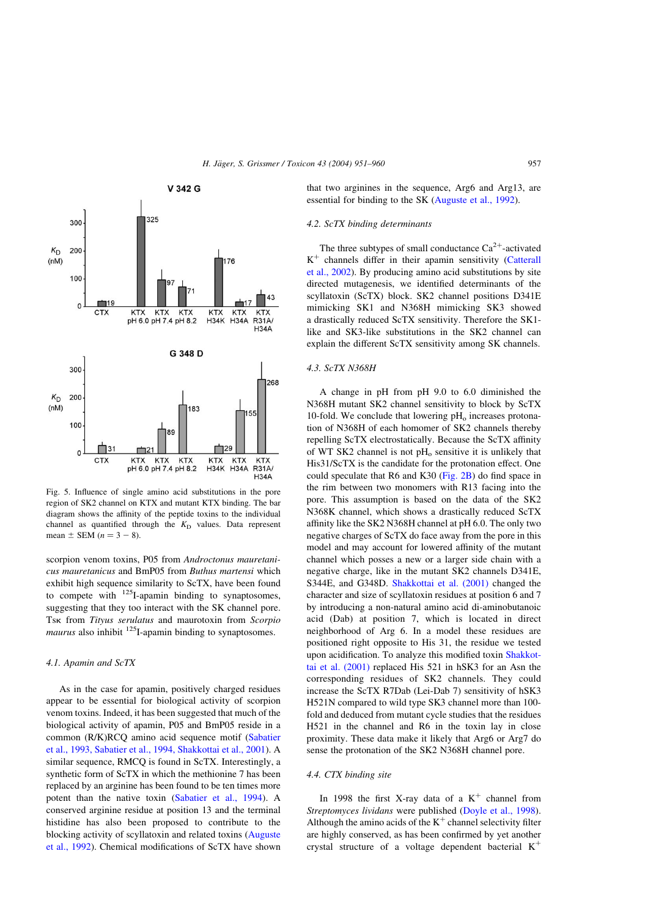<span id="page-6-0"></span>

Fig. 5. Influence of single amino acid substitutions in the pore region of SK2 channel on KTX and mutant KTX binding. The bar diagram shows the affinity of the peptide toxins to the individual channel as quantified through the  $K<sub>D</sub>$  values. Data represent mean  $\pm$  SEM  $(n = 3 - 8)$ .

scorpion venom toxins, P05 from Androctonus mauretanicus mauretanicus and BmP05 from Buthus martensi which exhibit high sequence similarity to ScTX, have been found to compete with  $^{125}$ I-apamin binding to synaptosomes, suggesting that they too interact with the SK channel pore. Tsk from Tityus serulatus and maurotoxin from Scorpio *maurus* also inhibit  $^{125}$ I-apamin binding to synaptosomes.

#### 4.1. Apamin and ScTX

As in the case for apamin, positively charged residues appear to be essential for biological activity of scorpion venom toxins. Indeed, it has been suggested that much of the biological activity of apamin, P05 and BmP05 reside in a common (R/K)RCQ amino acid sequence motif [\(Sabatier](#page-9-0) [et al., 1993, Sabatier et al., 1994, Shakkottai et al., 2001\)](#page-9-0). A similar sequence, RMCQ is found in ScTX. Interestingly, a synthetic form of ScTX in which the methionine 7 has been replaced by an arginine has been found to be ten times more potent than the native toxin ([Sabatier et al., 1994\)](#page-9-0). A conserved arginine residue at position 13 and the terminal histidine has also been proposed to contribute to the blocking activity of scyllatoxin and related toxins ([Auguste](#page-8-0) [et al., 1992\)](#page-8-0). Chemical modifications of ScTX have shown that two arginines in the sequence, Arg6 and Arg13, are essential for binding to the SK [\(Auguste et al., 1992\)](#page-8-0).

# 4.2. ScTX binding determinants

The three subtypes of small conductance  $Ca^{2+}$ -activated  $K^+$  channels differ in their apamin sensitivity ([Catterall](#page-8-0) [et al., 2002](#page-8-0)). By producing amino acid substitutions by site directed mutagenesis, we identified determinants of the scyllatoxin (ScTX) block. SK2 channel positions D341E mimicking SK1 and N368H mimicking SK3 showed a drastically reduced ScTX sensitivity. Therefore the SK1 like and SK3-like substitutions in the SK2 channel can explain the different ScTX sensitivity among SK channels.

#### 4.3. ScTX N368H

A change in pH from pH 9.0 to 6.0 diminished the N368H mutant SK2 channel sensitivity to block by ScTX 10-fold. We conclude that lowering  $pH_0$  increases protonation of N368H of each homomer of SK2 channels thereby repelling ScTX electrostatically. Because the ScTX affinity of WT SK2 channel is not  $pH<sub>o</sub>$  sensitive it is unlikely that His31/ScTX is the candidate for the protonation effect. One could speculate that R6 and K30 [\(Fig. 2B](#page-3-0)) do find space in the rim between two monomers with R13 facing into the pore. This assumption is based on the data of the SK2 N368K channel, which shows a drastically reduced ScTX affinity like the SK2 N368H channel at pH 6.0. The only two negative charges of ScTX do face away from the pore in this model and may account for lowered affinity of the mutant channel which posses a new or a larger side chain with a negative charge, like in the mutant SK2 channels D341E, S344E, and G348D. [Shakkottai et al. \(2001\)](#page-9-0) changed the character and size of scyllatoxin residues at position 6 and 7 by introducing a non-natural amino acid di-aminobutanoic acid (Dab) at position 7, which is located in direct neighborhood of Arg 6. In a model these residues are positioned right opposite to His 31, the residue we tested upon acidification. To analyze this modified toxin [Shakkot](#page-9-0)[tai et al. \(2001\)](#page-9-0) replaced His 521 in hSK3 for an Asn the corresponding residues of SK2 channels. They could increase the ScTX R7Dab (Lei-Dab 7) sensitivity of hSK3 H521N compared to wild type SK3 channel more than 100 fold and deduced from mutant cycle studies that the residues H521 in the channel and R6 in the toxin lay in close proximity. These data make it likely that Arg6 or Arg7 do sense the protonation of the SK2 N368H channel pore.

# 4.4. CTX binding site

In 1998 the first X-ray data of a  $K^+$  channel from Streptomyces lividans were published [\(Doyle et al., 1998\)](#page-9-0). Although the amino acids of the  $K^+$  channel selectivity filter are highly conserved, as has been confirmed by yet another crystal structure of a voltage dependent bacterial  $K^+$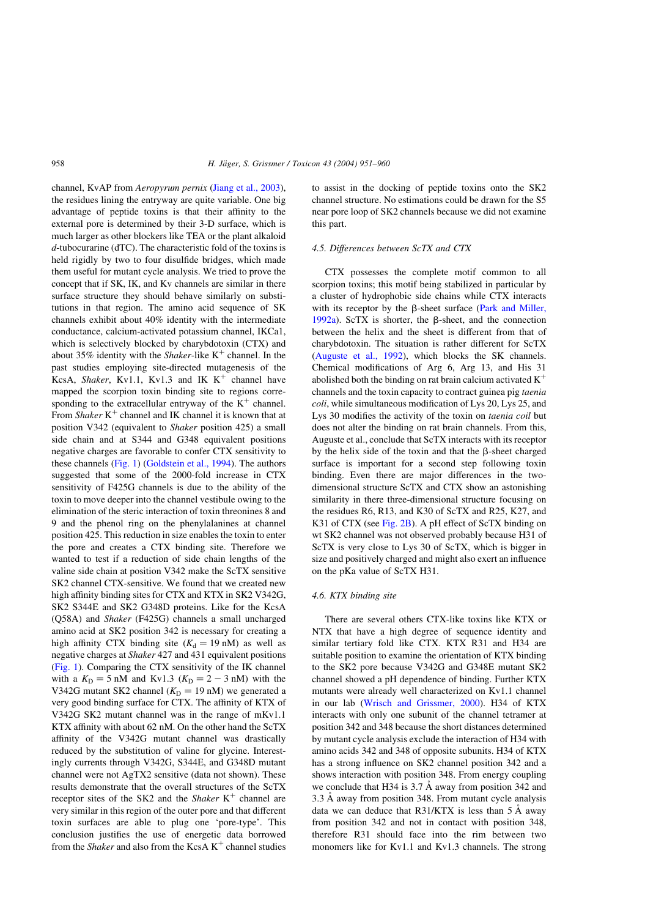channel, KvAP from Aeropyrum pernix ([Jiang et al., 2003](#page-9-0)), the residues lining the entryway are quite variable. One big advantage of peptide toxins is that their affinity to the external pore is determined by their 3-D surface, which is much larger as other blockers like TEA or the plant alkaloid d-tubocurarine (dTC). The characteristic fold of the toxins is held rigidly by two to four disulfide bridges, which made them useful for mutant cycle analysis. We tried to prove the concept that if SK, IK, and Kv channels are similar in there surface structure they should behave similarly on substitutions in that region. The amino acid sequence of SK channels exhibit about 40% identity with the intermediate conductance, calcium-activated potassium channel, IKCa1, which is selectively blocked by charybdotoxin (CTX) and about 35% identity with the *Shaker*-like  $K^+$  channel. In the past studies employing site-directed mutagenesis of the KcsA, Shaker, Kv1.1, Kv1.3 and IK  $K^+$  channel have mapped the scorpion toxin binding site to regions corresponding to the extracellular entryway of the  $K^+$  channel. From Shaker  $K^+$  channel and IK channel it is known that at position V342 (equivalent to Shaker position 425) a small side chain and at S344 and G348 equivalent positions negative charges are favorable to confer CTX sensitivity to these channels [\(Fig. 1](#page-2-0)) [\(Goldstein et al., 1994](#page-9-0)). The authors suggested that some of the 2000-fold increase in CTX sensitivity of F425G channels is due to the ability of the toxin to move deeper into the channel vestibule owing to the elimination of the steric interaction of toxin threonines 8 and 9 and the phenol ring on the phenylalanines at channel position 425. This reduction in size enables the toxin to enter the pore and creates a CTX binding site. Therefore we wanted to test if a reduction of side chain lengths of the valine side chain at position V342 make the ScTX sensitive SK2 channel CTX-sensitive. We found that we created new high affinity binding sites for CTX and KTX in SK2 V342G, SK2 S344E and SK2 G348D proteins. Like for the KcsA (Q58A) and Shaker (F425G) channels a small uncharged amino acid at SK2 position 342 is necessary for creating a high affinity CTX binding site  $(K_d = 19 \text{ nM})$  as well as negative charges at Shaker 427 and 431 equivalent positions [\(Fig. 1\)](#page-2-0). Comparing the CTX sensitivity of the IK channel with a  $K<sub>D</sub> = 5$  nM and Kv1.3 ( $K<sub>D</sub> = 2 - 3$  nM) with the V342G mutant SK2 channel  $(K_D = 19 \text{ nM})$  we generated a very good binding surface for CTX. The affinity of KTX of V342G SK2 mutant channel was in the range of mKv1.1 KTX affinity with about 62 nM. On the other hand the ScTX affinity of the V342G mutant channel was drastically reduced by the substitution of valine for glycine. Interestingly currents through V342G, S344E, and G348D mutant channel were not AgTX2 sensitive (data not shown). These results demonstrate that the overall structures of the ScTX receptor sites of the SK2 and the Shaker  $K^+$  channel are very similar in this region of the outer pore and that different toxin surfaces are able to plug one 'pore-type'. This conclusion justifies the use of energetic data borrowed from the *Shaker* and also from the KcsA  $K^+$  channel studies

to assist in the docking of peptide toxins onto the SK2 channel structure. No estimations could be drawn for the S5 near pore loop of SK2 channels because we did not examine this part.

# 4.5. Differences between ScTX and CTX

CTX possesses the complete motif common to all scorpion toxins; this motif being stabilized in particular by a cluster of hydrophobic side chains while CTX interacts with its receptor by the  $\beta$ -sheet surface ([Park and Miller,](#page-9-0) [1992a](#page-9-0)). ScTX is shorter, the  $\beta$ -sheet, and the connection between the helix and the sheet is different from that of charybdotoxin. The situation is rather different for ScTX [\(Auguste et al., 1992\)](#page-8-0), which blocks the SK channels. Chemical modifications of Arg 6, Arg 13, and His 31 abolished both the binding on rat brain calcium activated  $K^+$ channels and the toxin capacity to contract guinea pig taenia coli, while simultaneous modification of Lys 20, Lys 25, and Lys 30 modifies the activity of the toxin on taenia coil but does not alter the binding on rat brain channels. From this, Auguste et al., conclude that ScTX interacts with its receptor by the helix side of the toxin and that the  $\beta$ -sheet charged surface is important for a second step following toxin binding. Even there are major differences in the twodimensional structure ScTX and CTX show an astonishing similarity in there three-dimensional structure focusing on the residues R6, R13, and K30 of ScTX and R25, K27, and K31 of CTX (see [Fig. 2B\)](#page-3-0). A pH effect of ScTX binding on wt SK2 channel was not observed probably because H31 of ScTX is very close to Lys 30 of ScTX, which is bigger in size and positively charged and might also exert an influence on the pKa value of ScTX H31.

#### 4.6. KTX binding site

There are several others CTX-like toxins like KTX or NTX that have a high degree of sequence identity and similar tertiary fold like CTX. KTX R31 and H34 are suitable position to examine the orientation of KTX binding to the SK2 pore because V342G and G348E mutant SK2 channel showed a pH dependence of binding. Further KTX mutants were already well characterized on Kv1.1 channel in our lab ([Wrisch and Grissmer, 2000\)](#page-9-0). H34 of KTX interacts with only one subunit of the channel tetramer at position 342 and 348 because the short distances determined by mutant cycle analysis exclude the interaction of H34 with amino acids 342 and 348 of opposite subunits. H34 of KTX has a strong influence on SK2 channel position 342 and a shows interaction with position 348. From energy coupling we conclude that H34 is  $3.7 \text{ Å}$  away from position 342 and 3.3 Å away from position 348. From mutant cycle analysis data we can deduce that  $R31/KTX$  is less than 5 Å away from position 342 and not in contact with position 348, therefore R31 should face into the rim between two monomers like for Kv1.1 and Kv1.3 channels. The strong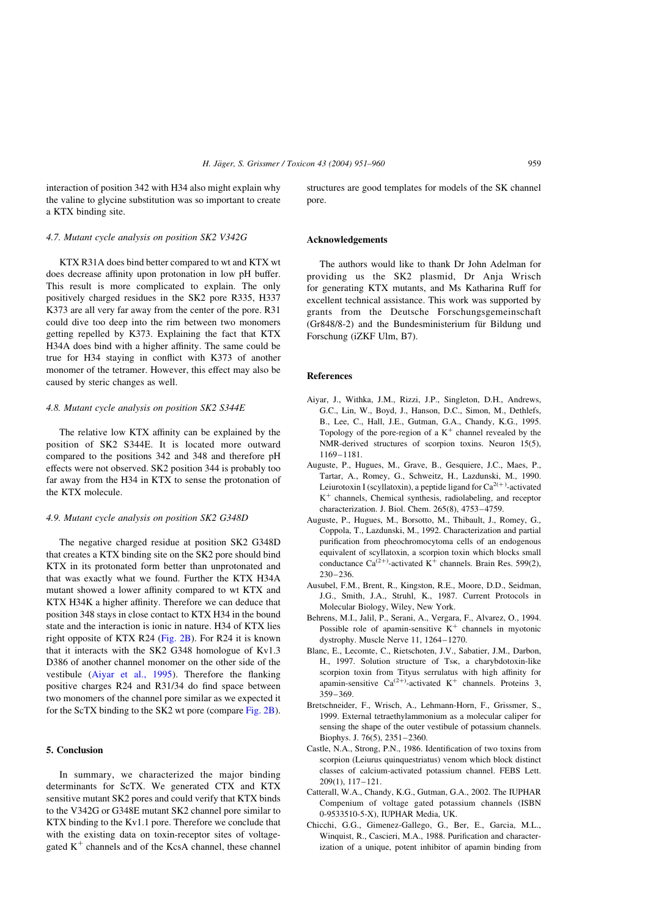<span id="page-8-0"></span>interaction of position 342 with H34 also might explain why the valine to glycine substitution was so important to create a KTX binding site.

#### 4.7. Mutant cycle analysis on position SK2 V342G

KTX R31A does bind better compared to wt and KTX wt does decrease affinity upon protonation in low pH buffer. This result is more complicated to explain. The only positively charged residues in the SK2 pore R335, H337 K373 are all very far away from the center of the pore. R31 could dive too deep into the rim between two monomers getting repelled by K373. Explaining the fact that KTX H34A does bind with a higher affinity. The same could be true for H34 staying in conflict with K373 of another monomer of the tetramer. However, this effect may also be caused by steric changes as well.

#### 4.8. Mutant cycle analysis on position SK2 S344E

The relative low KTX affinity can be explained by the position of SK2 S344E. It is located more outward compared to the positions 342 and 348 and therefore pH effects were not observed. SK2 position 344 is probably too far away from the H34 in KTX to sense the protonation of the KTX molecule.

# 4.9. Mutant cycle analysis on position SK2 G348D

The negative charged residue at position SK2 G348D that creates a KTX binding site on the SK2 pore should bind KTX in its protonated form better than unprotonated and that was exactly what we found. Further the KTX H34A mutant showed a lower affinity compared to wt KTX and KTX H34K a higher affinity. Therefore we can deduce that position 348 stays in close contact to KTX H34 in the bound state and the interaction is ionic in nature. H34 of KTX lies right opposite of KTX R24 [\(Fig. 2B](#page-3-0)). For R24 it is known that it interacts with the SK2 G348 homologue of Kv1.3 D386 of another channel monomer on the other side of the vestibule (Aiyar et al., 1995). Therefore the flanking positive charges R24 and R31/34 do find space between two monomers of the channel pore similar as we expected it for the ScTX binding to the SK2 wt pore (compare [Fig. 2B\)](#page-3-0).

## 5. Conclusion

In summary, we characterized the major binding determinants for ScTX. We generated CTX and KTX sensitive mutant SK2 pores and could verify that KTX binds to the V342G or G348E mutant SK2 channel pore similar to KTX binding to the Kv1.1 pore. Therefore we conclude that with the existing data on toxin-receptor sites of voltagegated  $K^+$  channels and of the KcsA channel, these channel structures are good templates for models of the SK channel pore.

#### Acknowledgements

The authors would like to thank Dr John Adelman for providing us the SK2 plasmid, Dr Anja Wrisch for generating KTX mutants, and Ms Katharina Ruff for excellent technical assistance. This work was supported by grants from the Deutsche Forschungsgemeinschaft  $(Gr848/8-2)$  and the Bundesministerium für Bildung und Forschung (iZKF Ulm, B7).

# References

- Aiyar, J., Withka, J.M., Rizzi, J.P., Singleton, D.H., Andrews, G.C., Lin, W., Boyd, J., Hanson, D.C., Simon, M., Dethlefs, B., Lee, C., Hall, J.E., Gutman, G.A., Chandy, K.G., 1995. Topology of the pore-region of a  $K^+$  channel revealed by the NMR-derived structures of scorpion toxins. Neuron 15(5), 1169–1181.
- Auguste, P., Hugues, M., Grave, B., Gesquiere, J.C., Maes, P., Tartar, A., Romey, G., Schweitz, H., Lazdunski, M., 1990. Leiurotoxin I (scyllatoxin), a peptide ligand for  $Ca^{2(+)}$ -activated  $K^+$  channels, Chemical synthesis, radiolabeling, and receptor characterization. J. Biol. Chem. 265(8), 4753–4759.
- Auguste, P., Hugues, M., Borsotto, M., Thibault, J., Romey, G., Coppola, T., Lazdunski, M., 1992. Characterization and partial purification from pheochromocytoma cells of an endogenous equivalent of scyllatoxin, a scorpion toxin which blocks small conductance Ca<sup>(2+)</sup>-activated K<sup>+</sup> channels. Brain Res. 599(2), 230–236.
- Ausubel, F.M., Brent, R., Kingston, R.E., Moore, D.D., Seidman, J.G., Smith, J.A., Struhl, K., 1987. Current Protocols in Molecular Biology, Wiley, New York.
- Behrens, M.I., Jalil, P., Serani, A., Vergara, F., Alvarez, O., 1994. Possible role of apamin-sensitive  $K^+$  channels in myotonic dystrophy. Muscle Nerve 11, 1264–1270.
- Blanc, E., Lecomte, C., Rietschoten, J.V., Sabatier, J.M., Darbon, H., 1997. Solution structure of Tsk, a charybdotoxin-like scorpion toxin from Tityus serrulatus with high affinity for apamin-sensitive Ca<sup>(2+)</sup>-activated K<sup>+</sup> channels. Proteins 3, 359–369.
- Bretschneider, F., Wrisch, A., Lehmann-Horn, F., Grissmer, S., 1999. External tetraethylammonium as a molecular caliper for sensing the shape of the outer vestibule of potassium channels. Biophys. J. 76(5), 2351–2360.
- Castle, N.A., Strong, P.N., 1986. Identification of two toxins from scorpion (Leiurus quinquestriatus) venom which block distinct classes of calcium-activated potassium channel. FEBS Lett. 209(1), 117–121.
- Catterall, W.A., Chandy, K.G., Gutman, G.A., 2002. The IUPHAR Compenium of voltage gated potassium channels (ISBN 0-9533510-5-X), IUPHAR Media, UK.
- Chicchi, G.G., Gimenez-Gallego, G., Ber, E., Garcia, M.L., Winquist, R., Cascieri, M.A., 1988. Purification and characterization of a unique, potent inhibitor of apamin binding from